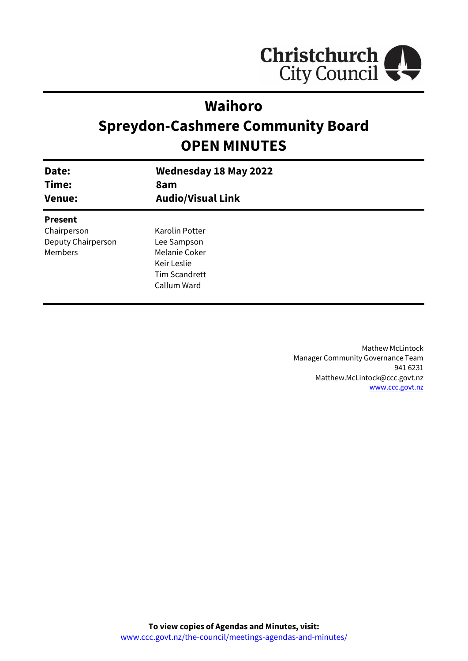

# **Waihoro**

# **Spreydon-Cashmere Community Board OPEN MINUTES**

| Date:<br>Time:<br><b>Venue:</b> | <b>Wednesday 18 May 2022</b><br>8am<br><b>Audio/Visual Link</b> |
|---------------------------------|-----------------------------------------------------------------|
| <b>Present</b>                  |                                                                 |
| Chairperson                     | Karolin Potter                                                  |
| Deputy Chairperson              | Lee Sampson                                                     |
| Members                         | Melanie Coker                                                   |
|                                 | Keir Leslie                                                     |
|                                 | <b>Tim Scandrett</b>                                            |
|                                 | Callum Ward                                                     |
|                                 |                                                                 |

Mathew McLintock Manager Community Governance Team 941 6231 Matthew.McLintock@ccc.govt.nz [www.ccc.govt.nz](http://www.ccc.govt.nz/)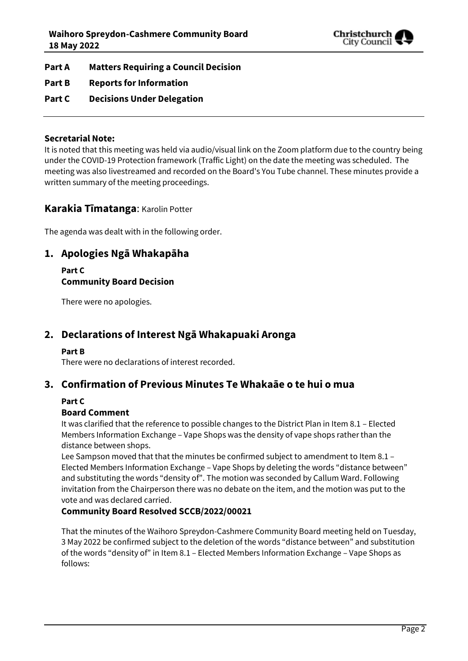

- **Part A Matters Requiring a Council Decision**
- **Part B Reports for Information**
- **Part C Decisions Under Delegation**

## **Secretarial Note:**

It is noted that this meeting was held via audio/visual link on the Zoom platform due to the country being under the COVID-19 Protection framework (Traffic Light) on the date the meeting was scheduled. The meeting was also livestreamed and recorded on the Board's You Tube channel. These minutes provide a written summary of the meeting proceedings.

## **Karakia Tīmatanga**: Karolin Potter

The agenda was dealt with in the following order.

## **1. Apologies Ngā Whakapāha**

## **Part C Community Board Decision**

There were no apologies.

## **2. Declarations of Interest Ngā Whakapuaki Aronga**

## **Part B**

There were no declarations of interest recorded.

## **3. Confirmation of Previous Minutes Te Whakaāe o te hui o mua**

### **Part C**

## **Board Comment**

It was clarified that the reference to possible changes to the District Plan in Item 8.1 – Elected Members Information Exchange – Vape Shops was the density of vape shops rather than the distance between shops.

Lee Sampson moved that that the minutes be confirmed subject to amendment to Item 8.1 -Elected Members Information Exchange – Vape Shops by deleting the words "distance between" and substituting the words "density of". The motion was seconded by Callum Ward. Following invitation from the Chairperson there was no debate on the item, and the motion was put to the vote and was declared carried.

## **Community Board Resolved SCCB/2022/00021**

That the minutes of the Waihoro Spreydon-Cashmere Community Board meeting held on Tuesday, 3 May 2022 be confirmed subject to the deletion of the words "distance between" and substitution of the words "density of" in Item 8.1 – Elected Members Information Exchange – Vape Shops as follows: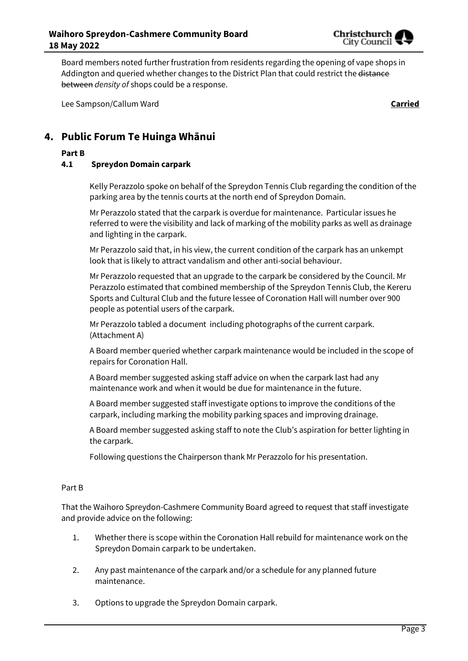

Board members noted further frustration from residents regarding the opening of vape shops in Addington and queried whether changes to the District Plan that could restrict the distance between *density of* shops could be a response.

Lee Sampson/Callum Ward **Carried**

## **4. Public Forum Te Huinga Whānui**

### **Part B**

## **4.1 Spreydon Domain carpark**

Kelly Perazzolo spoke on behalf of the Spreydon Tennis Club regarding the condition of the parking area by the tennis courts at the north end of Spreydon Domain.

Mr Perazzolo stated that the carpark is overdue for maintenance. Particular issues he referred to were the visibility and lack of marking of the mobility parks as well as drainage and lighting in the carpark.

Mr Perazzolo said that, in his view, the current condition of the carpark has an unkempt look that is likely to attract vandalism and other anti-social behaviour.

Mr Perazzolo requested that an upgrade to the carpark be considered by the Council. Mr Perazzolo estimated that combined membership of the Spreydon Tennis Club, the Kereru Sports and Cultural Club and the future lessee of Coronation Hall will number over 900 people as potential users of the carpark.

Mr Perazzolo tabled a document including photographs of the current carpark. (Attachment A)

A Board member queried whether carpark maintenance would be included in the scope of repairs for Coronation Hall.

A Board member suggested asking staff advice on when the carpark last had any maintenance work and when it would be due for maintenance in the future.

A Board member suggested staff investigate options to improve the conditions of the carpark, including marking the mobility parking spaces and improving drainage.

A Board member suggested asking staff to note the Club's aspiration for better lighting in the carpark.

Following questions the Chairperson thank Mr Perazzolo for his presentation.

#### Part B

That the Waihoro Spreydon-Cashmere Community Board agreed to request that staff investigate and provide advice on the following:

- 1. Whether there is scope within the Coronation Hall rebuild for maintenance work on the Spreydon Domain carpark to be undertaken.
- 2. Any past maintenance of the carpark and/or a schedule for any planned future maintenance.
- 3. Options to upgrade the Spreydon Domain carpark.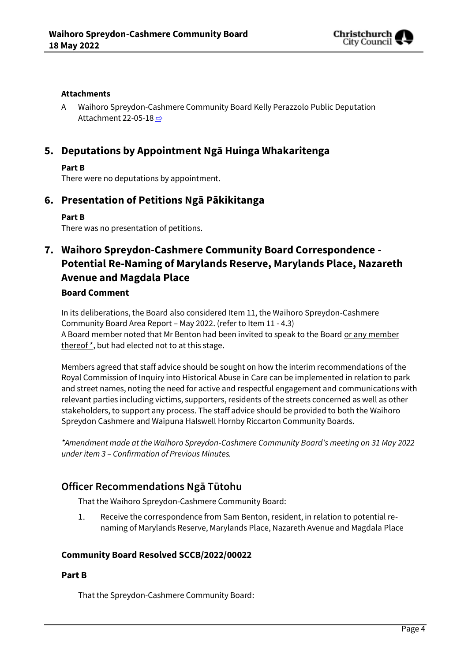

### **Attachments**

A Waihoro Spreydon-Cashmere Community Board Kelly Perazzolo Public Deputation Attachment 22-05-18 [⇨](../../../RedirectToInvalidFileName.aspx?FileName=SCCB_20220518_MAT_7752.PDF#PAGE=3)

## **5. Deputations by Appointment Ngā Huinga Whakaritenga**

### **Part B**

There were no deputations by appointment.

## **6. Presentation of Petitions Ngā Pākikitanga**

## **Part B**

There was no presentation of petitions.

## **7. Waihoro Spreydon-Cashmere Community Board Correspondence - Potential Re-Naming of Marylands Reserve, Marylands Place, Nazareth Avenue and Magdala Place**

## **Board Comment**

In its deliberations, the Board also considered Item 11, the Waihoro Spreydon-Cashmere Community Board Area Report – May 2022. (refer to Item 11 - 4.3) A Board member noted that Mr Benton had been invited to speak to the Board or any member thereof  $*$ , but had elected not to at this stage.

Members agreed that staff advice should be sought on how the interim recommendations of the Royal Commission of Inquiry into Historical Abuse in Care can be implemented in relation to park and street names, noting the need for active and respectful engagement and communications with relevant parties including victims, supporters, residents of the streets concerned as well as other stakeholders, to support any process. The staff advice should be provided to both the Waihoro Spreydon Cashmere and Waipuna Halswell Hornby Riccarton Community Boards.

*\*Amendment made at the Waihoro Spreydon-Cashmere Community Board's meeting on 31 May 2022 under item 3 – Confirmation of Previous Minutes.*

## **Officer Recommendations Ngā Tūtohu**

That the Waihoro Spreydon-Cashmere Community Board:

 $1.$ Receive the correspondence from Sam Benton, resident, in relation to potential renaming of Marylands Reserve, Marylands Place, Nazareth Avenue and Magdala Place

## **Community Board Resolved SCCB/2022/00022**

### **Part B**

That the Spreydon-Cashmere Community Board: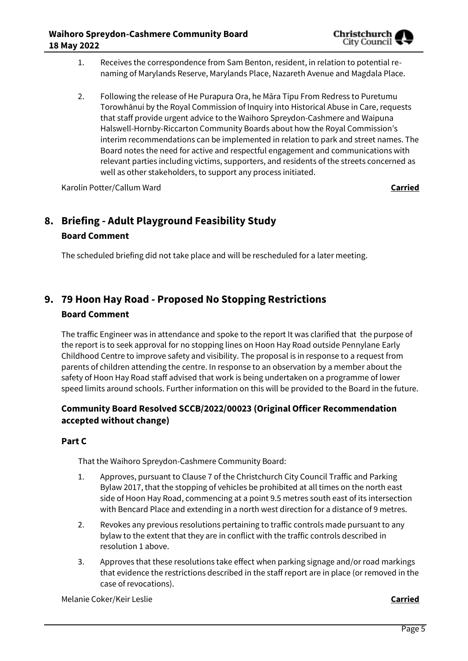

- 1. Receives the correspondence from Sam Benton, resident, in relation to potential renaming of Marylands Reserve, Marylands Place, Nazareth Avenue and Magdala Place.
- 2. Following the release of He Purapura Ora, he Māra Tipu From Redress to Puretumu Torowhānui by the Royal Commission of Inquiry into Historical Abuse in Care, requests that staff provide urgent advice to the Waihoro Spreydon-Cashmere and Waipuna Halswell-Hornby-Riccarton Community Boards about how the Royal Commission's interim recommendations can be implemented in relation to park and street names. The Board notes the need for active and respectful engagement and communications with relevant parties including victims, supporters, and residents of the streets concerned as well as other stakeholders, to support any process initiated.

Karolin Potter/Callum Ward **Carried**

# **8. Briefing - Adult Playground Feasibility Study Board Comment**

The scheduled briefing did not take place and will be rescheduled for a later meeting.

# **9. 79 Hoon Hay Road - Proposed No Stopping Restrictions**

## **Board Comment**

The traffic Engineer was in attendance and spoke to the report It was clarified that the purpose of the report is to seek approval for no stopping lines on Hoon Hay Road outside Pennylane Early Childhood Centre to improve safety and visibility. The proposal is in response to a request from parents of children attending the centre. In response to an observation by a member about the safety of Hoon Hay Road staff advised that work is being undertaken on a programme of lower speed limits around schools. Further information on this will be provided to the Board in the future.

## **Community Board Resolved SCCB/2022/00023 (Original Officer Recommendation accepted without change)**

## **Part C**

That the Waihoro Spreydon-Cashmere Community Board:

- 1. Approves, pursuant to Clause 7 of the Christchurch City Council Traffic and Parking Bylaw 2017, that the stopping of vehicles be prohibited at all times on the north east side of Hoon Hay Road, commencing at a point 9.5 metres south east of its intersection with Bencard Place and extending in a north west direction for a distance of 9 metres.
- 2. Revokes any previous resolutions pertaining to traffic controls made pursuant to any bylaw to the extent that they are in conflict with the traffic controls described in resolution 1 above.
- 3. Approves that these resolutions take effect when parking signage and/or road markings that evidence the restrictions described in the staff report are in place (or removed in the case of revocations).

Melanie Coker/Keir Leslie **Carried**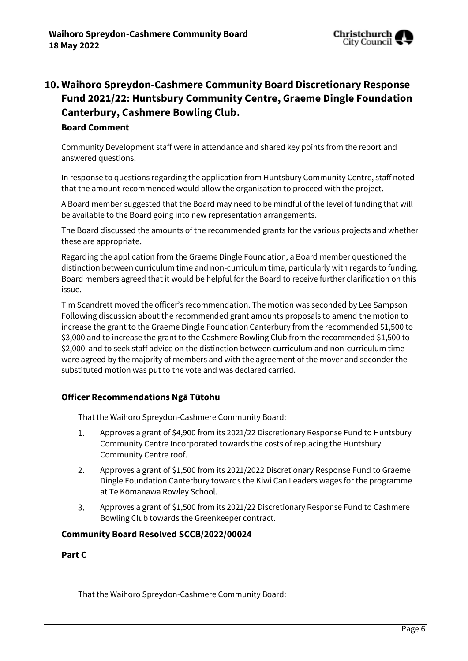

## **10. Waihoro Spreydon-Cashmere Community Board Discretionary Response Fund 2021/22: Huntsbury Community Centre, Graeme Dingle Foundation Canterbury, Cashmere Bowling Club.**

## **Board Comment**

Community Development staff were in attendance and shared key points from the report and answered questions.

In response to questions regarding the application from Huntsbury Community Centre, staff noted that the amount recommended would allow the organisation to proceed with the project.

A Board member suggested that the Board may need to be mindful of the level of funding that will be available to the Board going into new representation arrangements.

The Board discussed the amounts of the recommended grants for the various projects and whether these are appropriate.

Regarding the application from the Graeme Dingle Foundation, a Board member questioned the distinction between curriculum time and non-curriculum time, particularly with regards to funding. Board members agreed that it would be helpful for the Board to receive further clarification on this issue.

Tim Scandrett moved the officer's recommendation. The motion was seconded by Lee Sampson Following discussion about the recommended grant amounts proposals to amend the motion to increase the grant to the Graeme Dingle Foundation Canterbury from the recommended \$1,500 to \$3,000 and to increase the grant to the Cashmere Bowling Club from the recommended \$1,500 to \$2,000 and to seek staff advice on the distinction between curriculum and non-curriculum time were agreed by the majority of members and with the agreement of the mover and seconder the substituted motion was put to the vote and was declared carried.

## **Officer Recommendations Ngā Tūtohu**

That the Waihoro Spreydon-Cashmere Community Board:

- $1.$ Approves a grant of \$4,900 from its 2021/22 Discretionary Response Fund to Huntsbury Community Centre Incorporated towards the costs of replacing the Huntsbury Community Centre roof.
- $2.$ Approves a grant of \$1,500 from its 2021/2022 Discretionary Response Fund to Graeme Dingle Foundation Canterbury towards the Kiwi Can Leaders wages for the programme at Te Kōmanawa Rowley School.
- Approves a grant of \$1,500 from its 2021/22 Discretionary Response Fund to Cashmere 3. Bowling Club towards the Greenkeeper contract.

### **Community Board Resolved SCCB/2022/00024**

### **Part C**

That the Waihoro Spreydon-Cashmere Community Board: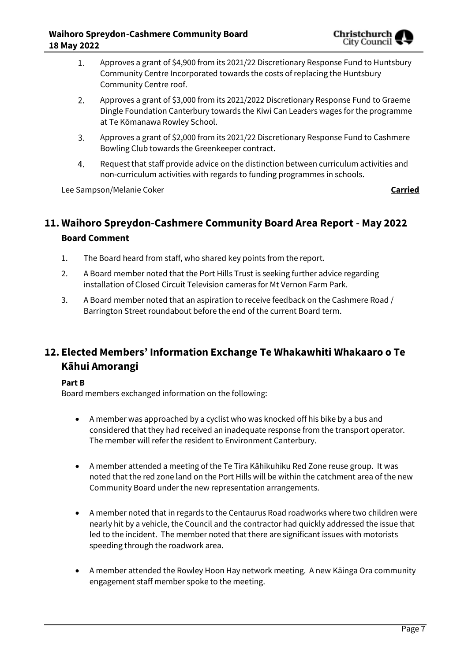

- Approves a grant of \$4,900 from its 2021/22 Discretionary Response Fund to Huntsbury  $1.$ Community Centre Incorporated towards the costs of replacing the Huntsbury Community Centre roof.
- $2.$ Approves a grant of \$3,000 from its 2021/2022 Discretionary Response Fund to Graeme Dingle Foundation Canterbury towards the Kiwi Can Leaders wages for the programme at Te Kōmanawa Rowley School.
- Approves a grant of \$2,000 from its 2021/22 Discretionary Response Fund to Cashmere 3. Bowling Club towards the Greenkeeper contract.
- Request that staff provide advice on the distinction between curriculum activities and 4. non-curriculum activities with regards to funding programmes in schools.

Lee Sampson/Melanie Coker **Carried**

# **11. Waihoro Spreydon-Cashmere Community Board Area Report - May 2022**

## **Board Comment**

- 1. The Board heard from staff, who shared key points from the report.
- 2. A Board member noted that the Port Hills Trust is seeking further advice regarding installation of Closed Circuit Television cameras for Mt Vernon Farm Park.
- 3. A Board member noted that an aspiration to receive feedback on the Cashmere Road / Barrington Street roundabout before the end of the current Board term.

## **12. Elected Members' Information Exchange Te Whakawhiti Whakaaro o Te Kāhui Amorangi**

## **Part B**

Board members exchanged information on the following:

- A member was approached by a cyclist who was knocked off his bike by a bus and considered that they had received an inadequate response from the transport operator. The member will refer the resident to Environment Canterbury.
- A member attended a meeting of the Te Tira Kāhikuhiku Red Zone reuse group. It was noted that the red zone land on the Port Hills will be within the catchment area of the new Community Board under the new representation arrangements.
- A member noted that in regards to the Centaurus Road roadworks where two children were nearly hit by a vehicle, the Council and the contractor had quickly addressed the issue that led to the incident. The member noted that there are significant issues with motorists speeding through the roadwork area.
- A member attended the Rowley Hoon Hay network meeting. A new Kāinga Ora community engagement staff member spoke to the meeting.